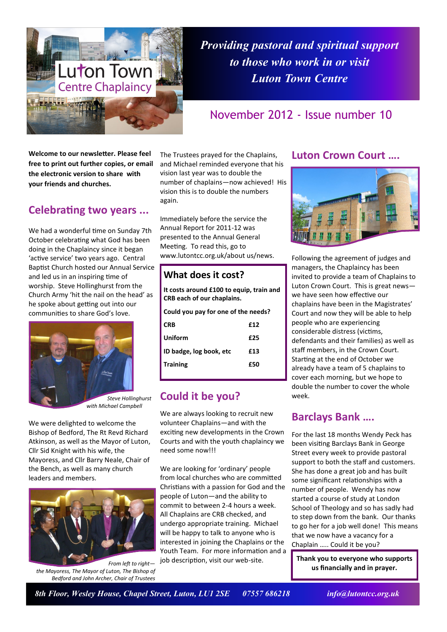

*Providing pastoral and spiritual support to those who work in or visit Luton Town Centre*

## November 2012 - Issue number 10

**Welcome to our newsletter. Please feel free to print out further copies, or email the electronic version to share with your friends and churches.**

## **Celebrating two years ...**

We had a wonderful time on Sunday 7th October celebrating what God has been doing in the Chaplaincy since it began 'active service' two years ago. Central Baptist Church hosted our Annual Service and led us in an inspiring time of worship. Steve Hollinghurst from the Church Army 'hit the nail on the head' as he spoke about getting out into our communities to share God's love.



*Steve Hollinghurst with Michael Campbell*

We were delighted to welcome the Bishop of Bedford, The Rt Revd Richard Atkinson, as well as the Mayor of Luton, Cllr Sid Knight with his wife, the Mayoress, and Cllr Barry Neale, Chair of the Bench, as well as many church leaders and members.



*From left to right the Mayoress, The Mayor of Luton, The Bishop of Bedford and John Archer, Chair of Trustees*

The Trustees prayed for the Chaplains, and Michael reminded everyone that his vision last year was to double the number of chaplains—now achieved! His vision this is to double the numbers again.

Immediately before the service the Annual Report for 2011-12 was presented to the Annual General Meeting. To read this, go to www.lutontcc.org.uk/about us/news.

### **What does it cost?**

| It costs around £100 to equip, train and<br><b>CRB each of our chaplains.</b> |     |
|-------------------------------------------------------------------------------|-----|
| Could you pay for one of the needs?                                           |     |
| <b>CRB</b>                                                                    | £12 |
| Uniform                                                                       | £25 |
| ID badge, log book, etc                                                       | £13 |
| <b>Training</b>                                                               | £50 |
|                                                                               |     |

## **Could it be you?**

We are always looking to recruit new volunteer Chaplains—and with the exciting new developments in the Crown Courts and with the youth chaplaincy we need some now!!!

We are looking for 'ordinary' people from local churches who are committed Christians with a passion for God and the people of Luton—and the ability to commit to between 2-4 hours a week. All Chaplains are CRB checked, and undergo appropriate training. Michael will be happy to talk to anyone who is interested in joining the Chaplains or the Youth Team. For more information and a job description, visit our web-site.

#### **Luton Crown Court ….**



Following the agreement of judges and managers, the Chaplaincy has been invited to provide a team of Chaplains to Luton Crown Court. This is great news we have seen how effective our chaplains have been in the Magistrates' Court and now they will be able to help people who are experiencing considerable distress (victims, defendants and their families) as well as staff members, in the Crown Court. Starting at the end of October we already have a team of 5 chaplains to cover each morning, but we hope to double the number to cover the whole week.

## **Barclays Bank ….**

For the last 18 months Wendy Peck has been visiting Barclays Bank in George Street every week to provide pastoral support to both the staff and customers. She has done a great job and has built some significant relationships with a number of people. Wendy has now started a course of study at London School of Theology and so has sadly had to step down from the bank. Our thanks to go her for a job well done! This means that we now have a vacancy for a Chaplain ….. Could it be you?

**Thank you to everyone who supports us financially and in prayer.**